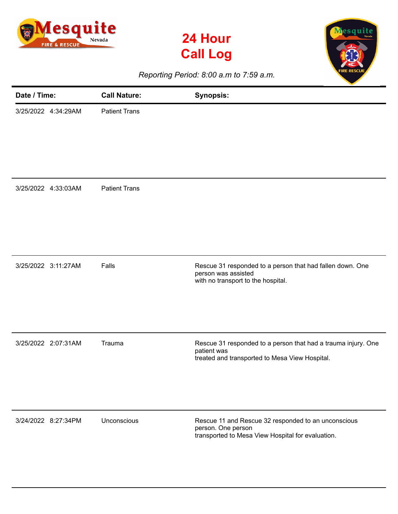





*Reporting Period: 8:00 a.m to 7:59 a.m.*

| Date / Time: |                     | <b>Call Nature:</b>  | <b>Synopsis:</b>                                                                                                               |
|--------------|---------------------|----------------------|--------------------------------------------------------------------------------------------------------------------------------|
|              | 3/25/2022 4:34:29AM | <b>Patient Trans</b> |                                                                                                                                |
|              | 3/25/2022 4:33:03AM | <b>Patient Trans</b> |                                                                                                                                |
|              | 3/25/2022 3:11:27AM | Falls                | Rescue 31 responded to a person that had fallen down. One<br>person was assisted<br>with no transport to the hospital.         |
|              | 3/25/2022 2:07:31AM | Trauma               | Rescue 31 responded to a person that had a trauma injury. One<br>patient was<br>treated and transported to Mesa View Hospital. |
|              | 3/24/2022 8:27:34PM | Unconscious          | Rescue 11 and Rescue 32 responded to an unconscious<br>person. One person<br>transported to Mesa View Hospital for evaluation. |